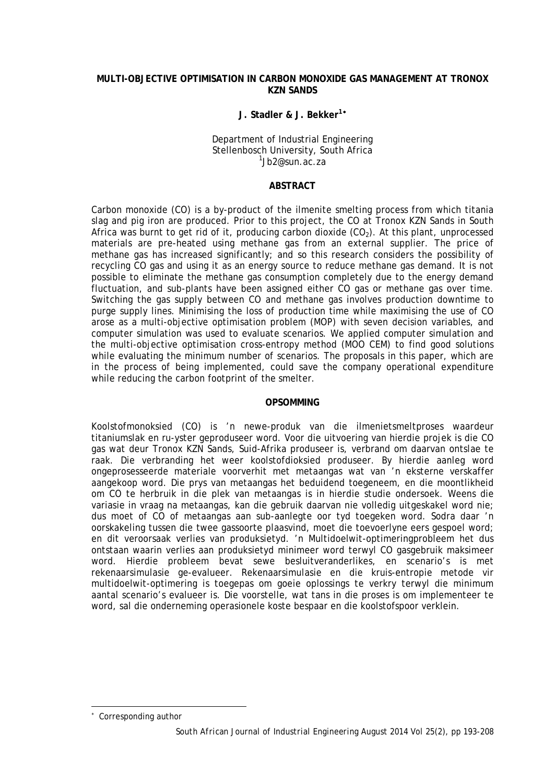### **MULTI-OBJECTIVE OPTIMISATION IN CARBON MONOXIDE GAS MANAGEMENT AT TRONOX KZN SANDS**

#### **J. Stadler & J. Bekker1**[∗](#page-0-0)

Department of Industrial Engineering Stellenbosch University, South Africa  $1$ Jb2@sun.ac.za

#### **ABSTRACT**

Carbon monoxide (CO) is a by-product of the ilmenite smelting process from which titania slag and pig iron are produced. Prior to this project, the CO at Tronox KZN Sands in South Africa was burnt to get rid of it, producing carbon dioxide  $(CO<sub>2</sub>)$ . At this plant, unprocessed materials are pre-heated using methane gas from an external supplier. The price of methane gas has increased significantly; and so this research considers the possibility of recycling CO gas and using it as an energy source to reduce methane gas demand. It is not possible to eliminate the methane gas consumption completely due to the energy demand fluctuation, and sub-plants have been assigned either CO gas or methane gas over time. Switching the gas supply between CO and methane gas involves production downtime to purge supply lines. Minimising the loss of production time while maximising the use of CO arose as a multi-objective optimisation problem (MOP) with seven decision variables, and computer simulation was used to evaluate scenarios. We applied computer simulation and the multi-objective optimisation cross-entropy method (MOO CEM) to find good solutions while evaluating the minimum number of scenarios. The proposals in this paper, which are in the process of being implemented, could save the company operational expenditure while reducing the carbon footprint of the smelter.

#### **OPSOMMING**

Koolstofmonoksied (CO) is 'n newe-produk van die ilmenietsmeltproses waardeur titaniumslak en ru-yster geproduseer word. Voor die uitvoering van hierdie projek is die CO gas wat deur Tronox KZN Sands, Suid-Afrika produseer is, verbrand om daarvan ontslae te raak. Die verbranding het weer koolstofdioksied produseer. By hierdie aanleg word ongeprosesseerde materiale voorverhit met metaangas wat van 'n eksterne verskaffer aangekoop word. Die prys van metaangas het beduidend toegeneem, en die moontlikheid om CO te herbruik in die plek van metaangas is in hierdie studie ondersoek. Weens die variasie in vraag na metaangas, kan die gebruik daarvan nie volledig uitgeskakel word nie; dus moet of CO of metaangas aan sub-aanlegte oor tyd toegeken word. Sodra daar 'n oorskakeling tussen die twee gassoorte plaasvind, moet die toevoerlyne eers gespoel word; en dit veroorsaak verlies van produksietyd. 'n Multidoelwit-optimeringprobleem het dus ontstaan waarin verlies aan produksietyd minimeer word terwyl CO gasgebruik maksimeer word. Hierdie probleem bevat sewe besluitveranderlikes, en scenario's is met rekenaarsimulasie ge-evalueer. Rekenaarsimulasie en die kruis-entropie metode vir multidoelwit-optimering is toegepas om goeie oplossings te verkry terwyl die minimum aantal scenario's evalueer is. Die voorstelle, wat tans in die proses is om implementeer te word, sal die onderneming operasionele koste bespaar en die koolstofspoor verklein.

-

<span id="page-0-0"></span>Corresponding author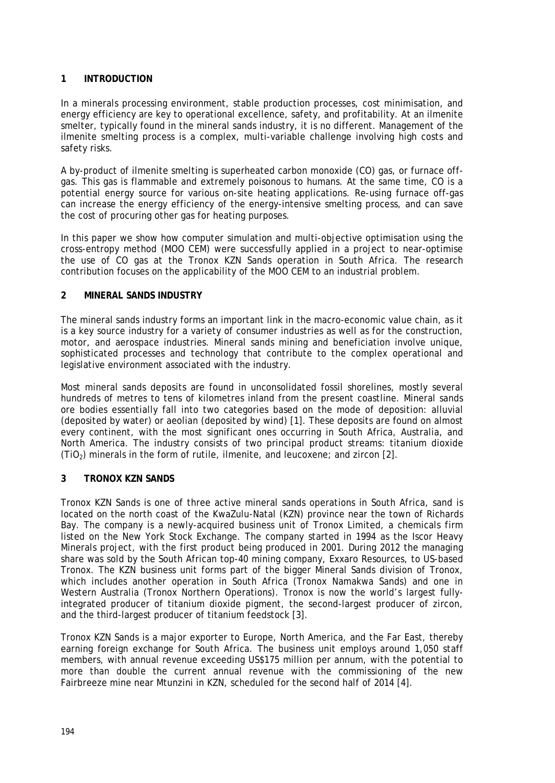# **1 INTRODUCTION**

In a minerals processing environment, stable production processes, cost minimisation, and energy efficiency are key to operational excellence, safety, and profitability. At an ilmenite smelter, typically found in the mineral sands industry, it is no different. Management of the ilmenite smelting process is a complex, multi-variable challenge involving high costs and safety risks.

A by-product of ilmenite smelting is superheated carbon monoxide (CO) gas, or furnace offgas. This gas is flammable and extremely poisonous to humans. At the same time, CO is a potential energy source for various on-site heating applications. Re-using furnace off-gas can increase the energy efficiency of the energy-intensive smelting process, and can save the cost of procuring other gas for heating purposes.

In this paper we show how computer simulation and multi-objective optimisation using the cross-entropy method (MOO CEM) were successfully applied in a project to near-optimise the use of CO gas at the Tronox KZN Sands operation in South Africa. The research contribution focuses on the applicability of the MOO CEM to an industrial problem.

### **2 MINERAL SANDS INDUSTRY**

The mineral sands industry forms an important link in the macro-economic value chain, as it is a key source industry for a variety of consumer industries as well as for the construction, motor, and aerospace industries. Mineral sands mining and beneficiation involve unique, sophisticated processes and technology that contribute to the complex operational and legislative environment associated with the industry.

Most mineral sands deposits are found in unconsolidated fossil shorelines, mostly several hundreds of metres to tens of kilometres inland from the present coastline. Mineral sands ore bodies essentially fall into two categories based on the mode of deposition: alluvial (deposited by water) or aeolian (deposited by wind) [\[1\].](#page-14-0) These deposits are found on almost every continent, with the most significant ones occurring in South Africa, Australia, and North America. The industry consists of two principal product streams: titanium dioxide  $(TIO<sub>2</sub>)$  minerals in the form of rutile, ilmenite, and leucoxene; and zircon [\[2\].](#page-14-1)

### **3 TRONOX KZN SANDS**

Tronox KZN Sands is one of three active mineral sands operations in South Africa, sand is located on the north coast of the KwaZulu-Natal (KZN) province near the town of Richards Bay. The company is a newly-acquired business unit of Tronox Limited, a chemicals firm listed on the New York Stock Exchange. The company started in 1994 as the Iscor Heavy Minerals project, with the first product being produced in 2001. During 2012 the managing share was sold by the South African top-40 mining company, Exxaro Resources, to US-based Tronox. The KZN business unit forms part of the bigger Mineral Sands division of Tronox, which includes another operation in South Africa (Tronox Namakwa Sands) and one in Western Australia (Tronox Northern Operations). Tronox is now the world's largest fullyintegrated producer of titanium dioxide pigment, the second-largest producer of zircon, and the third-largest producer of titanium feedstock [\[3\].](#page-14-2)

Tronox KZN Sands is a major exporter to Europe, North America, and the Far East, thereby earning foreign exchange for South Africa. The business unit employs around 1,050 staff members, with annual revenue exceeding US\$175 million per annum, with the potential to more than double the current annual revenue with the commissioning of the new Fairbreeze mine near Mtunzini in KZN, scheduled for the second half of 2014 [\[4\].](#page-14-3)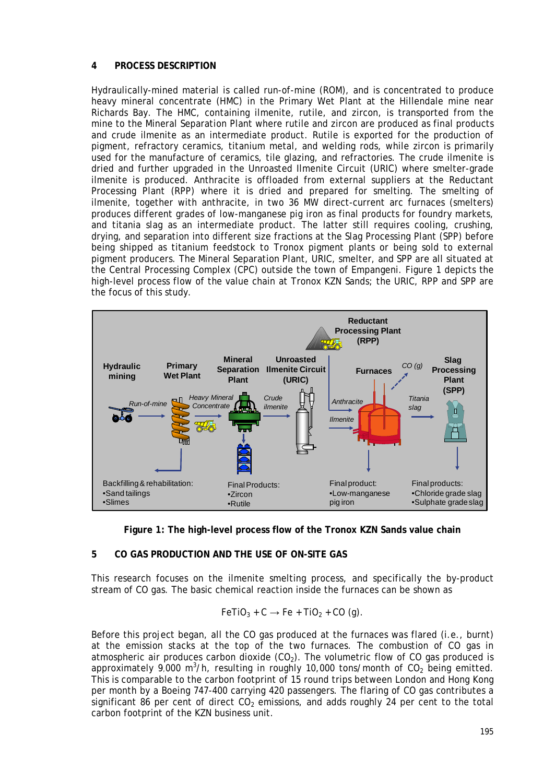# **4 PROCESS DESCRIPTION**

Hydraulically-mined material is called run-of-mine (ROM), and is concentrated to produce heavy mineral concentrate (HMC) in the Primary Wet Plant at the Hillendale mine near Richards Bay. The HMC, containing ilmenite, rutile, and zircon, is transported from the mine to the Mineral Separation Plant where rutile and zircon are produced as final products and crude ilmenite as an intermediate product. Rutile is exported for the production of pigment, refractory ceramics, titanium metal, and welding rods, while zircon is primarily used for the manufacture of ceramics, tile glazing, and refractories. The crude ilmenite is dried and further upgraded in the Unroasted Ilmenite Circuit (URIC) where smelter-grade ilmenite is produced. Anthracite is offloaded from external suppliers at the Reductant Processing Plant (RPP) where it is dried and prepared for smelting. The smelting of ilmenite, together with anthracite, in two 36 MW direct-current arc furnaces (smelters) produces different grades of low-manganese pig iron as final products for foundry markets, and titania slag as an intermediate product. The latter still requires cooling, crushing, drying, and separation into different size fractions at the Slag Processing Plant (SPP) before being shipped as titanium feedstock to Tronox pigment plants or being sold to external pigment producers. The Mineral Separation Plant, URIC, smelter, and SPP are all situated at the Central Processing Complex (CPC) outside the town of Empangeni. Figure 1 depicts the high-level process flow of the value chain at Tronox KZN Sands; the URIC, RPP and SPP are the focus of this study.





### **5 CO GAS PRODUCTION AND THE USE OF ON-SITE GAS**

This research focuses on the ilmenite smelting process, and specifically the by-product stream of CO gas. The basic chemical reaction inside the furnaces can be shown as

$$
\mathsf{FeTiO}_3 + C \rightarrow \mathsf{Fe} + \mathsf{TiO}_2 + \mathsf{CO} (g).
$$

Before this project began, all the CO gas produced at the furnaces was flared (i.e., burnt) at the emission stacks at the top of the two furnaces. The combustion of CO gas in atmospheric air produces carbon dioxide  $(CO<sub>2</sub>)$ . The volumetric flow of CO gas produced is approximately 9,000 m<sup>3</sup>/h, resulting in roughly 10,000 tons/month of  $CO<sub>2</sub>$  being emitted. This is comparable to the carbon footprint of 15 round trips between London and Hong Kong per month by a Boeing 747-400 carrying 420 passengers. The flaring of CO gas contributes a significant 86 per cent of direct  $CO<sub>2</sub>$  emissions, and adds roughly 24 per cent to the total carbon footprint of the KZN business unit.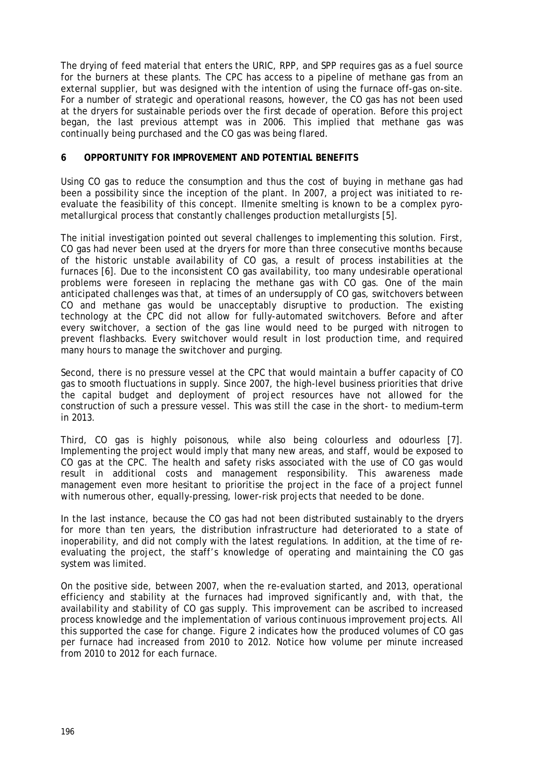The drying of feed material that enters the URIC, RPP, and SPP requires gas as a fuel source for the burners at these plants. The CPC has access to a pipeline of methane gas from an external supplier, but was designed with the intention of using the furnace off-gas on-site. For a number of strategic and operational reasons, however, the CO gas has not been used at the dryers for sustainable periods over the first decade of operation. Before this project began, the last previous attempt was in 2006. This implied that methane gas was continually being purchased and the CO gas was being flared.

### **6 OPPORTUNITY FOR IMPROVEMENT AND POTENTIAL BENEFITS**

Using CO gas to reduce the consumption and thus the cost of buying in methane gas had been a possibility since the inception of the plant. In 2007, a project was initiated to reevaluate the feasibility of this concept. Ilmenite smelting is known to be a complex pyrometallurgical process that constantly challenges production metallurgists [\[5\].](#page-14-4)

The initial investigation pointed out several challenges to implementing this solution. First, CO gas had never been used at the dryers for more than three consecutive months because of the historic unstable availability of CO gas, a result of process instabilities at the furnaces [\[6\].](#page-14-5) Due to the inconsistent CO gas availability, too many undesirable operational problems were foreseen in replacing the methane gas with CO gas. One of the main anticipated challenges was that, at times of an undersupply of CO gas, switchovers between CO and methane gas would be unacceptably disruptive to production. The existing technology at the CPC did not allow for fully-automated switchovers. Before and after every switchover, a section of the gas line would need to be purged with nitrogen to prevent flashbacks. Every switchover would result in lost production time, and required many hours to manage the switchover and purging.

Second, there is no pressure vessel at the CPC that would maintain a buffer capacity of CO gas to smooth fluctuations in supply. Since 2007, the high-level business priorities that drive the capital budget and deployment of project resources have not allowed for the construction of such a pressure vessel. This was still the case in the short- to medium–term in 2013.

Third, CO gas is highly poisonous, while also being colourless and odourless [\[7\].](#page-14-6) Implementing the project would imply that many new areas, and staff, would be exposed to CO gas at the CPC. The health and safety risks associated with the use of CO gas would result in additional costs and management responsibility. This awareness made management even more hesitant to prioritise the project in the face of a project funnel with numerous other, equally-pressing, lower-risk projects that needed to be done.

In the last instance, because the CO gas had not been distributed sustainably to the dryers for more than ten years, the distribution infrastructure had deteriorated to a state of inoperability, and did not comply with the latest regulations. In addition, at the time of reevaluating the project, the staff's knowledge of operating and maintaining the CO gas system was limited.

On the positive side, between 2007, when the re-evaluation started, and 2013, operational efficiency and stability at the furnaces had improved significantly and, with that, the availability and stability of CO gas supply. This improvement can be ascribed to increased process knowledge and the implementation of various continuous improvement projects. All this supported the case for change. Figure 2 indicates how the produced volumes of CO gas per furnace had increased from 2010 to 2012. Notice how volume per minute increased from 2010 to 2012 for each furnace.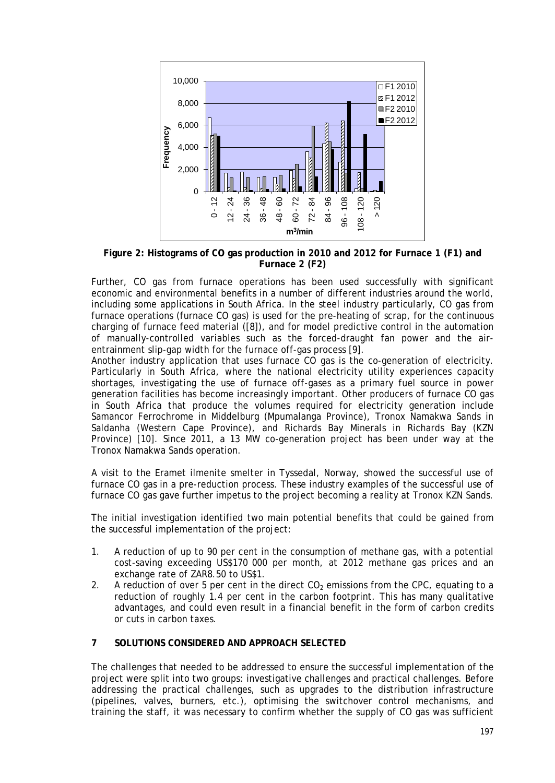

**Figure 2: Histograms of CO gas production in 2010 and 2012 for Furnace 1 (F1) and Furnace 2 (F2)**

Further, CO gas from furnace operations has been used successfully with significant economic and environmental benefits in a number of different industries around the world, including some applications in South Africa. In the steel industry particularly, CO gas from furnace operations (furnace CO gas) is used for the pre-heating of scrap, for the continuous charging of furnace feed material [\(\[8\]\)](#page-14-7), and for model predictive control in the automation of manually-controlled variables such as the forced-draught fan power and the airentrainment slip-gap width for the furnace off-gas process [\[9\].](#page-15-0)

Another industry application that uses furnace CO gas is the co-generation of electricity. Particularly in South Africa, where the national electricity utility experiences capacity shortages, investigating the use of furnace off-gases as a primary fuel source in power generation facilities has become increasingly important. Other producers of furnace CO gas in South Africa that produce the volumes required for electricity generation include Samancor Ferrochrome in Middelburg (Mpumalanga Province), Tronox Namakwa Sands in Saldanha (Western Cape Province), and Richards Bay Minerals in Richards Bay (KZN Province) [\[10\].](#page-15-1) Since 2011, a 13 MW co-generation project has been under way at the Tronox Namakwa Sands operation.

A visit to the Eramet ilmenite smelter in Tyssedal, Norway, showed the successful use of furnace CO gas in a pre-reduction process. These industry examples of the successful use of furnace CO gas gave further impetus to the project becoming a reality at Tronox KZN Sands.

The initial investigation identified two main potential benefits that could be gained from the successful implementation of the project:

- 1. A reduction of up to 90 per cent in the consumption of methane gas, with a potential cost-saving exceeding US\$170 000 per month, at 2012 methane gas prices and an exchange rate of ZAR8.50 to US\$1.
- 2. A reduction of over 5 per cent in the direct  $CO<sub>2</sub>$  emissions from the CPC, equating to a reduction of roughly 1.4 per cent in the carbon footprint. This has many qualitative advantages, and could even result in a financial benefit in the form of carbon credits or cuts in carbon taxes.

# **7 SOLUTIONS CONSIDERED AND APPROACH SELECTED**

The challenges that needed to be addressed to ensure the successful implementation of the project were split into two groups: investigative challenges and practical challenges. Before addressing the practical challenges, such as upgrades to the distribution infrastructure (pipelines, valves, burners, etc.), optimising the switchover control mechanisms, and training the staff, it was necessary to confirm whether the supply of CO gas was sufficient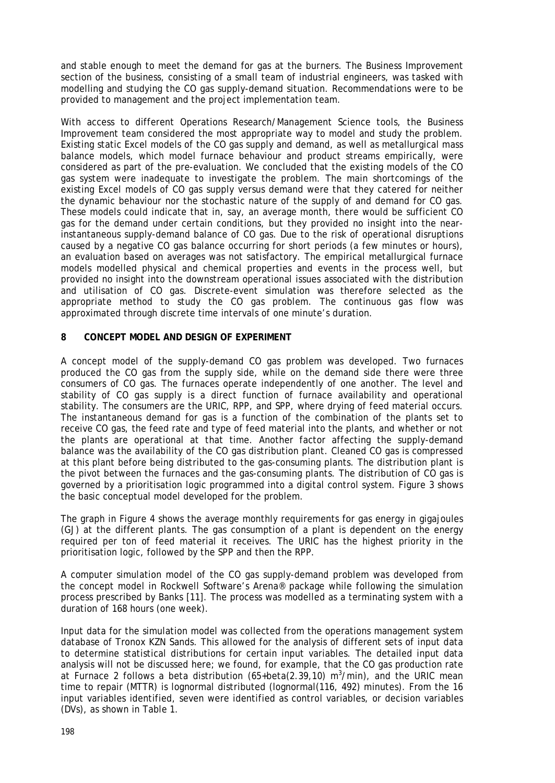and stable enough to meet the demand for gas at the burners. The Business Improvement section of the business, consisting of a small team of industrial engineers, was tasked with modelling and studying the CO gas supply-demand situation. Recommendations were to be provided to management and the project implementation team.

With access to different Operations Research/Management Science tools, the Business Improvement team considered the most appropriate way to model and study the problem. Existing static Excel models of the CO gas supply and demand, as well as metallurgical mass balance models, which model furnace behaviour and product streams empirically, were considered as part of the pre-evaluation. We concluded that the existing models of the CO gas system were inadequate to investigate the problem. The main shortcomings of the existing Excel models of CO gas supply versus demand were that they catered for neither the dynamic behaviour nor the stochastic nature of the supply of and demand for CO gas. These models could indicate that in, say, an average month, there would be sufficient CO gas for the demand under certain conditions, but they provided no insight into the nearinstantaneous supply-demand balance of CO gas. Due to the risk of operational disruptions caused by a negative CO gas balance occurring for short periods (a few minutes or hours), an evaluation based on averages was not satisfactory. The empirical metallurgical furnace models modelled physical and chemical properties and events in the process well, but provided no insight into the downstream operational issues associated with the distribution and utilisation of CO gas. Discrete-event simulation was therefore selected as the appropriate method to study the CO gas problem. The continuous gas flow was approximated through discrete time intervals of one minute's duration.

### **8 CONCEPT MODEL AND DESIGN OF EXPERIMENT**

A concept model of the supply-demand CO gas problem was developed. Two furnaces produced the CO gas from the supply side, while on the demand side there were three consumers of CO gas. The furnaces operate independently of one another. The level and stability of CO gas supply is a direct function of furnace availability and operational stability. The consumers are the URIC, RPP, and SPP, where drying of feed material occurs. The instantaneous demand for gas is a function of the combination of the plants set to receive CO gas, the feed rate and type of feed material into the plants, and whether or not the plants are operational at that time. Another factor affecting the supply-demand balance was the availability of the CO gas distribution plant. Cleaned CO gas is compressed at this plant before being distributed to the gas-consuming plants. The distribution plant is the pivot between the furnaces and the gas-consuming plants. The distribution of CO gas is governed by a prioritisation logic programmed into a digital control system. [Figure 3](#page-6-0) shows the basic conceptual model developed for the problem.

The graph in [Figure 4](#page-6-1) shows the average monthly requirements for gas energy in gigajoules (GJ) at the different plants. The gas consumption of a plant is dependent on the energy required per ton of feed material it receives. The URIC has the highest priority in the prioritisation logic, followed by the SPP and then the RPP.

A computer simulation model of the CO gas supply-demand problem was developed from the concept model in Rockwell Software's Arena® package while following the simulation process prescribed by Banks [\[11\].](#page-15-2) The process was modelled as a terminating system with a duration of 168 hours (one week).

Input data for the simulation model was collected from the operations management system database of Tronox KZN Sands. This allowed for the analysis of different sets of input data to determine statistical distributions for certain input variables. The detailed input data analysis will not be discussed here; we found, for example, that the CO gas production rate at Furnace 2 follows a beta distribution (65+beta(2.39,10) m<sup>3</sup>/min), and the URIC mean time to repair (MTTR) is lognormal distributed (lognormal(116, 492) minutes). From the 16 input variables identified, seven were identified as control variables, or decision variables (DVs), as shown in Table 1.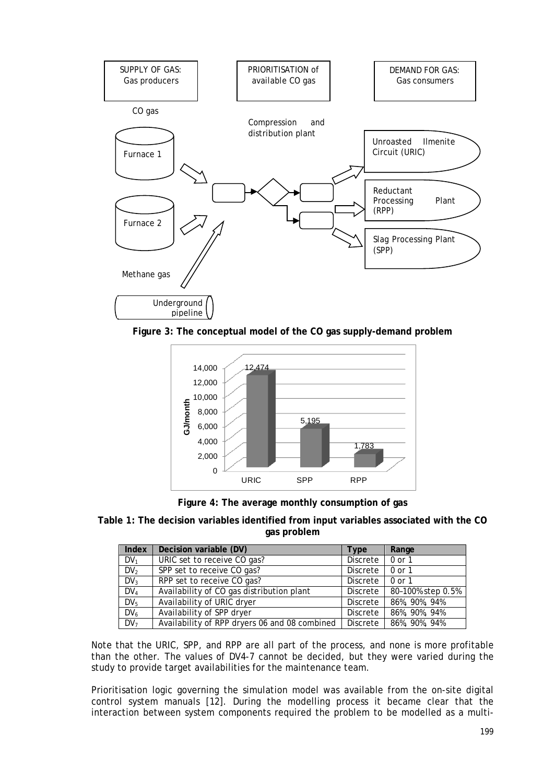

<span id="page-6-0"></span>**Figure 3: The conceptual model of the CO gas supply-demand problem**



**Figure 4: The average monthly consumption of gas**

<span id="page-6-1"></span>**Table 1: The decision variables identified from input variables associated with the CO gas problem**

| Index           | Decision variable (DV)                        | <b>Type</b>     | Range             |
|-----------------|-----------------------------------------------|-----------------|-------------------|
| $DV_1$          | URIC set to receive CO gas?                   | Discrete        | 0 or 1            |
| DV <sub>2</sub> | SPP set to receive CO gas?                    | <b>Discrete</b> | $0$ or $1$        |
| DV <sub>3</sub> | RPP set to receive CO gas?                    | Discrete        | $0$ or $1$        |
| $DV_4$          | Availability of CO gas distribution plant     | Discrete        | 80-100% step 0.5% |
| DV <sub>5</sub> | Availability of URIC dryer                    | <b>Discrete</b> | 86%, 90%, 94%     |
| $DV_6$          | Availability of SPP dryer                     | Discrete        | 86%, 90%, 94%     |
| $DV_7$          | Availability of RPP dryers 06 and 08 combined | Discrete        | 86%, 90%, 94%     |

Note that the URIC, SPP, and RPP are all part of the process, and none is more profitable than the other. The values of DV4-7 cannot be decided, but they were varied during the study to provide target availabilities for the maintenance team.

Prioritisation logic governing the simulation model was available from the on-site digital control system manuals [\[12\].](#page-15-3) During the modelling process it became clear that the interaction between system components required the problem to be modelled as a multi-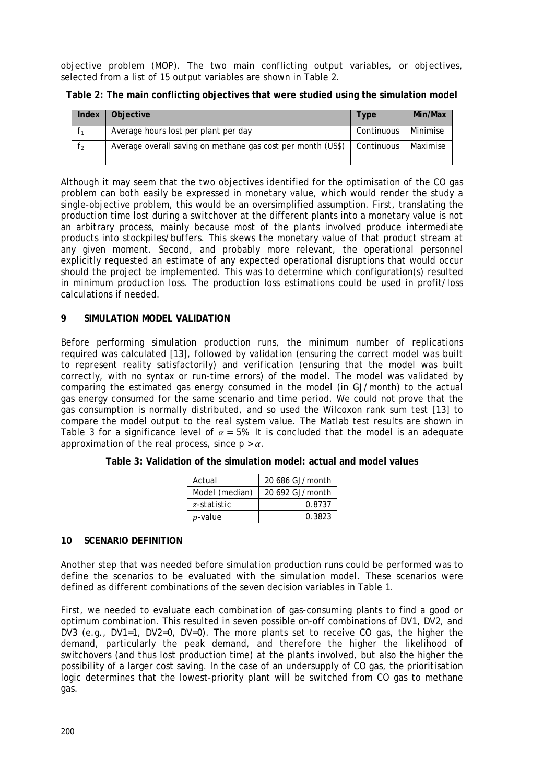objective problem (MOP). The two main conflicting output variables, or objectives, selected from a list of 15 output variables are shown in Table 2.

| Index | Objective                                                   | Type       | Min/Max  |
|-------|-------------------------------------------------------------|------------|----------|
|       | Average hours lost per plant per day                        | Continuous | Minimise |
| T2    | Average overall saving on methane gas cost per month (US\$) | Continuous | Maximise |

**Table 2: The main conflicting objectives that were studied using the simulation model**

Although it may seem that the two objectives identified for the optimisation of the CO gas problem can both easily be expressed in monetary value, which would render the study a single-objective problem, this would be an oversimplified assumption. First, translating the production time lost during a switchover at the different plants into a monetary value is not an arbitrary process, mainly because most of the plants involved produce intermediate products into stockpiles/buffers. This skews the monetary value of that product stream at any given moment. Second, and probably more relevant, the operational personnel explicitly requested an estimate of any expected operational disruptions that would occur should the project be implemented. This was to determine which configuration(s) resulted in minimum production loss. The production loss estimations could be used in profit/loss calculations if needed.

# **9 SIMULATION MODEL VALIDATION**

Before performing simulation production runs, the minimum number of replications required was calculated [\[13\],](#page-15-4) followed by validation (ensuring the correct model was built to represent reality satisfactorily) and verification (ensuring that the model was built correctly, with no syntax or run-time errors) of the model. The model was validated by comparing the estimated gas energy consumed in the model (in GJ/month) to the actual gas energy consumed for the same scenario and time period. We could not prove that the gas consumption is normally distributed, and so used the Wilcoxon rank sum test [\[13\]](#page-15-5) to compare the model output to the real system value. The Matlab test results are shown in [Table 3](#page-7-0) for a significance level of  $\alpha = 5%$ . It is concluded that the model is an adequate approximation of the real process, since  $p > a$ .

<span id="page-7-0"></span>

| Table 3: Validation of the simulation model: actual and model values |
|----------------------------------------------------------------------|
|----------------------------------------------------------------------|

| Actual         | 20 686 GJ/month |  |  |  |  |
|----------------|-----------------|--|--|--|--|
| Model (median) | 20 692 GJ/month |  |  |  |  |
| z-statistic    | 0.8737          |  |  |  |  |
| $p$ -value     | 0.3823          |  |  |  |  |

# **10 SCENARIO DEFINITION**

Another step that was needed before simulation production runs could be performed was to define the scenarios to be evaluated with the simulation model. These scenarios were defined as different combinations of the seven decision variables in Table 1.

First, we needed to evaluate each combination of gas-consuming plants to find a good or optimum combination. This resulted in seven possible on-off combinations of DV1, DV2, and DV3 (e.g., DV1=1, DV2=0, DV=0). The more plants set to receive CO gas, the higher the demand, particularly the peak demand, and therefore the higher the likelihood of switchovers (and thus lost production time) at the plants involved, but also the higher the possibility of a larger cost saving. In the case of an undersupply of CO gas, the prioritisation logic determines that the lowest-priority plant will be switched from CO gas to methane gas.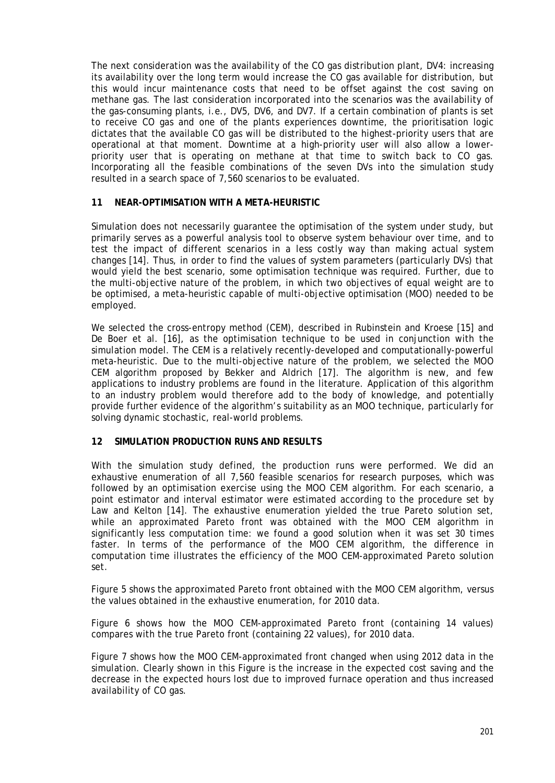The next consideration was the availability of the CO gas distribution plant, DV4: increasing its availability over the long term would increase the CO gas available for distribution, but this would incur maintenance costs that need to be offset against the cost saving on methane gas. The last consideration incorporated into the scenarios was the availability of the gas-consuming plants, i.e., DV5, DV6, and DV7. If a certain combination of plants is set to receive CO gas and one of the plants experiences downtime, the prioritisation logic dictates that the available CO gas will be distributed to the highest-priority users that are operational at that moment. Downtime at a high-priority user will also allow a lowerpriority user that is operating on methane at that time to switch back to CO gas. Incorporating all the feasible combinations of the seven DVs into the simulation study resulted in a search space of 7,560 scenarios to be evaluated.

### **11 NEAR-OPTIMISATION WITH A META-HEURISTIC**

Simulation does not necessarily guarantee the optimisation of the system under study, but primarily serves as a powerful analysis tool to observe system behaviour over time, and to test the impact of different scenarios in a less costly way than making actual system changes [\[14\].](#page-15-4) Thus, in order to find the values of system parameters (particularly DVs) that would yield the best scenario, some optimisation technique was required. Further, due to the multi-objective nature of the problem, in which two objectives of equal weight are to be optimised, a meta-heuristic capable of multi-objective optimisation (MOO) needed to be employed.

We selected the cross-entropy method (CEM), described in Rubinstein and Kroese [\[15\]](#page-15-6) and De Boer et al. [\[16\],](#page-15-7) as the optimisation technique to be used in conjunction with the simulation model. The CEM is a relatively recently-developed and computationally-powerful meta-heuristic. Due to the multi-objective nature of the problem, we selected the MOO CEM algorithm proposed by Bekker and Aldrich [\[17\].](#page-15-8) The algorithm is new, and few applications to industry problems are found in the literature. Application of this algorithm to an industry problem would therefore add to the body of knowledge, and potentially provide further evidence of the algorithm's suitability as an MOO technique, particularly for solving dynamic stochastic, real-world problems.

### **12 SIMULATION PRODUCTION RUNS AND RESULTS**

With the simulation study defined, the production runs were performed. We did an exhaustive enumeration of all 7,560 feasible scenarios for research purposes, which was followed by an optimisation exercise using the MOO CEM algorithm. For each scenario, a point estimator and interval estimator were estimated according to the procedure set by Law and Kelton [\[14\].](#page-15-4) The exhaustive enumeration yielded the true Pareto solution set, while an approximated Pareto front was obtained with the MOO CEM algorithm in significantly less computation time: we found a good solution when it was set 30 times faster. In terms of the performance of the MOO CEM algorithm, the difference in computation time illustrates the efficiency of the MOO CEM-approximated Pareto solution set.

[Figure 5](#page-9-0) shows the approximated Pareto front obtained with the MOO CEM algorithm, versus the values obtained in the exhaustive enumeration, for 2010 data.

[Figure 6](#page-9-1) shows how the MOO CEM-approximated Pareto front (containing 14 values) compares with the true Pareto front (containing 22 values), for 2010 data.

[Figure 7](#page-10-0) shows how the MOO CEM-approximated front changed when using 2012 data in the simulation. Clearly shown in this Figure is the increase in the expected cost saving and the decrease in the expected hours lost due to improved furnace operation and thus increased availability of CO gas.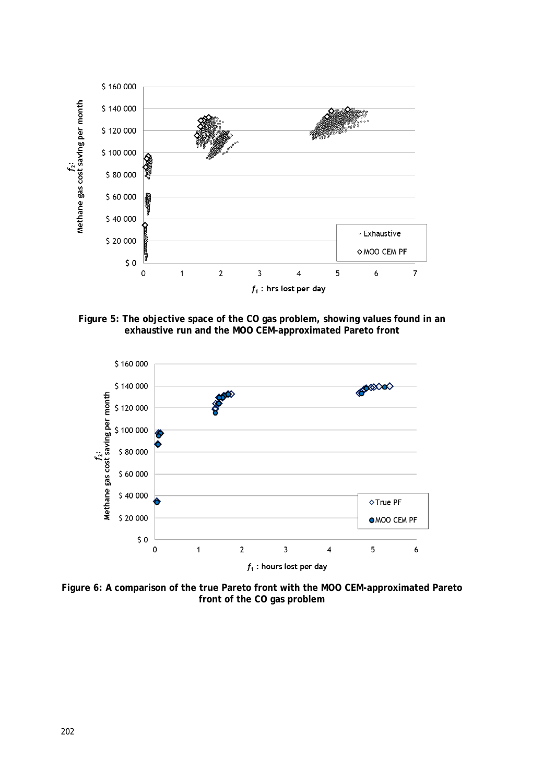

<span id="page-9-0"></span>**Figure 5: The objective space of the CO gas problem, showing values found in an exhaustive run and the MOO CEM-approximated Pareto front**



<span id="page-9-1"></span>**Figure 6: A comparison of the true Pareto front with the MOO CEM-approximated Pareto front of the CO gas problem**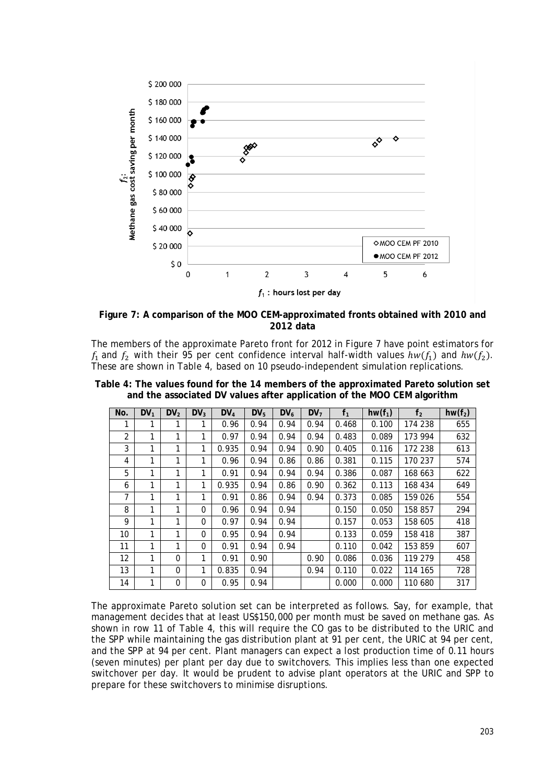

<span id="page-10-0"></span>**Figure 7: A comparison of the MOO CEM-approximated fronts obtained with 2010 and 2012 data**

The members of the approximate Pareto front for 2012 in [Figure 7](#page-10-0) have point estimators for  $f_1$  and  $f_2$  with their 95 per cent confidence interval half-width values  $hw(f_1)$  and  $hw(f_2)$ . These are shown in [Table 4,](#page-10-1) based on 10 pseudo-independent simulation replications.

| No.            | $DV_1$ | DV <sub>2</sub> | $DV_3$   | $DV_4$ | $DV_5$ | $DV_6$ | DV <sub>7</sub> | f <sub>1</sub> | $hw(f_1)$ | f <sub>2</sub> | $hw(f_2)$ |
|----------------|--------|-----------------|----------|--------|--------|--------|-----------------|----------------|-----------|----------------|-----------|
| 1              | 1      | 1               |          | 0.96   | 0.94   | 0.94   | 0.94            | 0.468          | 0.100     | 174 238        | 655       |
| $\overline{2}$ | 1      | 1               | 1        | 0.97   | 0.94   | 0.94   | 0.94            | 0.483          | 0.089     | 173 994        | 632       |
| 3              | 1      | 1               | 1        | 0.935  | 0.94   | 0.94   | 0.90            | 0.405          | 0.116     | 172 238        | 613       |
| 4              | 1      | 1               | 1        | 0.96   | 0.94   | 0.86   | 0.86            | 0.381          | 0.115     | 170 237        | 574       |
| 5              | 1      | 1               | 1        | 0.91   | 0.94   | 0.94   | 0.94            | 0.386          | 0.087     | 168 663        | 622       |
| 6              | 1      | 1               | 1        | 0.935  | 0.94   | 0.86   | 0.90            | 0.362          | 0.113     | 168 434        | 649       |
| 7              | 1      | 1               | 1        | 0.91   | 0.86   | 0.94   | 0.94            | 0.373          | 0.085     | 159 026        | 554       |
| 8              | 1      | 1               | $\Omega$ | 0.96   | 0.94   | 0.94   |                 | 0.150          | 0.050     | 158 857        | 294       |
| 9              | 1      | 1               | $\Omega$ | 0.97   | 0.94   | 0.94   |                 | 0.157          | 0.053     | 158 605        | 418       |
| 10             | 1      | 1               | $\Omega$ | 0.95   | 0.94   | 0.94   |                 | 0.133          | 0.059     | 158 418        | 387       |
| 11             | 1      | 1               | $\Omega$ | 0.91   | 0.94   | 0.94   |                 | 0.110          | 0.042     | 153 859        | 607       |
| 12             | 1      | $\Omega$        | 1        | 0.91   | 0.90   |        | 0.90            | 0.086          | 0.036     | 119 279        | 458       |
| 13             | 1      | $\Omega$        | 1        | 0.835  | 0.94   |        | 0.94            | 0.110          | 0.022     | 114 165        | 728       |
| 14             | 1      | $\Omega$        | $\Omega$ | 0.95   | 0.94   |        |                 | 0.000          | 0.000     | 110 680        | 317       |

<span id="page-10-1"></span>**Table 4: The values found for the 14 members of the approximated Pareto solution set and the associated DV values after application of the MOO CEM algorithm**

The approximate Pareto solution set can be interpreted as follows. Say, for example, that management decides that at least US\$150,000 per month must be saved on methane gas. As shown in row 11 of [Table 4,](#page-10-1) this will require the CO gas to be distributed to the URIC and the SPP while maintaining the gas distribution plant at 91 per cent, the URIC at 94 per cent, and the SPP at 94 per cent. Plant managers can expect a lost production time of 0.11 hours (seven minutes) per plant per day due to switchovers. This implies less than one expected switchover per day. It would be prudent to advise plant operators at the URIC and SPP to prepare for these switchovers to minimise disruptions.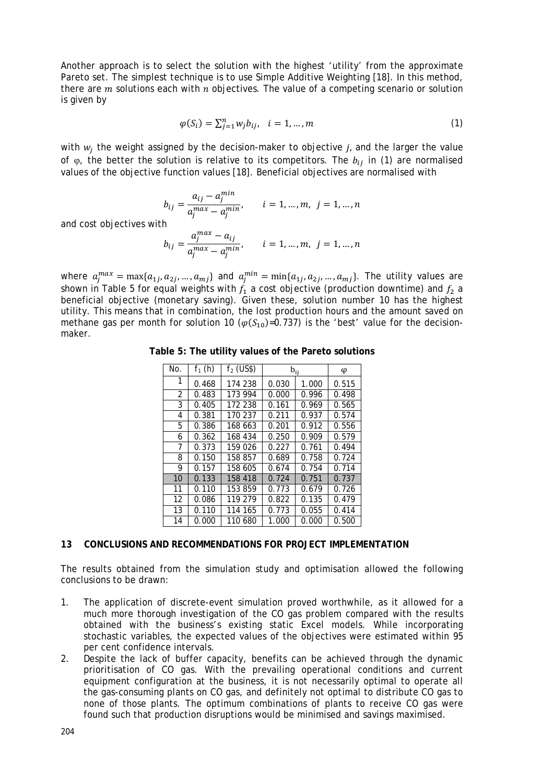Another approach is to select the solution with the highest 'utility' from the approximate Pareto set. The simplest technique is to use Simple Additive Weighting [\[18\].](#page-15-9) In this method, there are  $m$  solutions each with  $n$  objectives. The value of a competing scenario or solution is given by

$$
\varphi(S_i) = \sum_{j=1}^n w_j b_{ij}, \quad i = 1, ..., m
$$
\n(1)

with  $w_i$  the weight assigned by the decision-maker to objective *j*, and the larger the value of  $\varphi$ , the better the solution is relative to its competitors. The  $b_{ij}$  in (1) are normalised values of the objective function values [\[18\].](#page-15-9) Beneficial objectives are normalised with

$$
b_{ij} = \frac{a_{ij} - a_j^{min}}{a_j^{max} - a_j^{min}}, \qquad i = 1, ..., m, \ \ j = 1, ..., n
$$
  
h  

$$
a_j^{max} - a_{ij}^{max} \qquad i = 1, ..., n, \ \ j = 1, ..., n
$$

and cost objectives with

$$
b_{ij} = \frac{a_j^{max} - a_{ij}}{a_j^{max} - a_j^{min}}, \qquad i = 1, ..., m, \ \ j = 1, ..., n
$$

<span id="page-11-0"></span>where  $a_j^{max} = \max\{a_{1j}, a_{2j}, ..., a_{mj}\}\$  and  $a_j^{min} = \min\{a_{1j}, a_{2j}, ..., a_{mj}\}\$ . The utility values are shown in [Table 5](#page-11-0) for equal weights with  $f_1$  a cost objective (production downtime) and  $f_2$  a beneficial objective (monetary saving). Given these, solution number 10 has the highest utility. This means that in combination, the lost production hours and the amount saved on methane gas per month for solution 10 ( $\varphi(S_{10})=0.737$ ) is the 'best' value for the decisionmaker.

| No. | $f_1(h)$ | $f2$ (US\$) | $b_{ij}$ | φ     |       |
|-----|----------|-------------|----------|-------|-------|
| 1   | 0.468    | 174 238     | 0.030    | 1.000 | 0.515 |
| 2   | 0.483    | 173 994     | 0.000    | 0.996 | 0.498 |
| 3   | 0.405    | 172 238     | 0.161    | 0.969 | 0.565 |
| 4   | 0.381    | 170 237     | 0.211    | 0.937 | 0.574 |
| 5   | 0.386    | 168 663     | 0.201    | 0.912 | 0.556 |
| 6   | 0.362    | 168 434     | 0.250    | 0.909 | 0.579 |
| 7   | 0.373    | 159 026     | 0.227    | 0.761 | 0.494 |
| 8   | 0.150    | 158 857     | 0.689    | 0.758 | 0.724 |
| 9   | 0.157    | 158 605     | 0.674    | 0.754 | 0.714 |
| 10  | 0.133    | 158 418     | 0.724    | 0.751 | 0.737 |
| 11  | 0.110    | 153 859     | 0.773    | 0.679 | 0.726 |
| 12  | 0.086    | 119 279     | 0.822    | 0.135 | 0.479 |
| 13  | 0.110    | 114 165     | 0.773    | 0.055 | 0.414 |
| 14  | 0.000    | 110 680     | 1.000    | 0.000 | 0.500 |

**Table 5: The utility values of the Pareto solutions** 

### **13 CONCLUSIONS AND RECOMMENDATIONS FOR PROJECT IMPLEMENTATION**

The results obtained from the simulation study and optimisation allowed the following conclusions to be drawn:

- 1. The application of discrete-event simulation proved worthwhile, as it allowed for a much more thorough investigation of the CO gas problem compared with the results obtained with the business's existing static Excel models. While incorporating stochastic variables, the expected values of the objectives were estimated within 95 per cent confidence intervals.
- 2. Despite the lack of buffer capacity, benefits can be achieved through the dynamic prioritisation of CO gas. With the prevailing operational conditions and current equipment configuration at the business, it is not necessarily optimal to operate all the gas-consuming plants on CO gas, and definitely not optimal to distribute CO gas to none of those plants. The optimum combinations of plants to receive CO gas were found such that production disruptions would be minimised and savings maximised.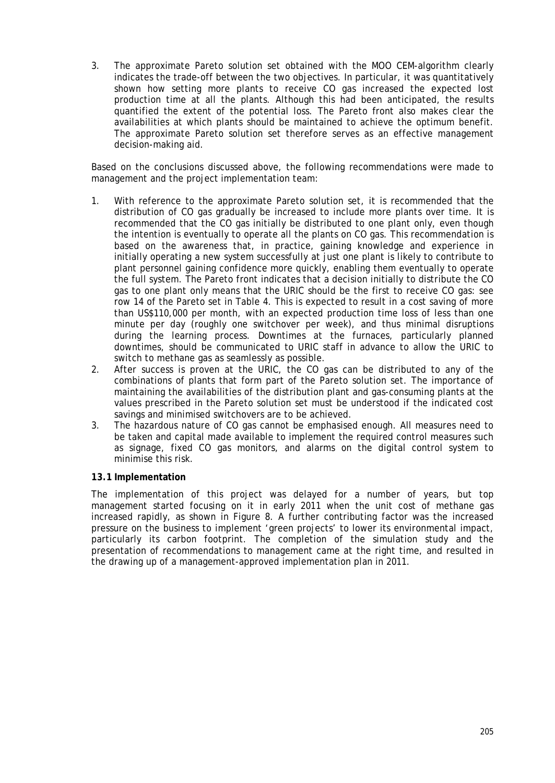3. The approximate Pareto solution set obtained with the MOO CEM-algorithm clearly indicates the trade-off between the two objectives. In particular, it was quantitatively shown how setting more plants to receive CO gas increased the expected lost production time at all the plants. Although this had been anticipated, the results quantified the extent of the potential loss. The Pareto front also makes clear the availabilities at which plants should be maintained to achieve the optimum benefit. The approximate Pareto solution set therefore serves as an effective management decision-making aid.

Based on the conclusions discussed above, the following recommendations were made to management and the project implementation team:

- 1. With reference to the approximate Pareto solution set, it is recommended that the distribution of CO gas gradually be increased to include more plants over time. It is recommended that the CO gas initially be distributed to one plant only, even though the intention is eventually to operate all the plants on CO gas. This recommendation is based on the awareness that, in practice, gaining knowledge and experience in initially operating a new system successfully at just one plant is likely to contribute to plant personnel gaining confidence more quickly, enabling them eventually to operate the full system. The Pareto front indicates that a decision initially to distribute the CO gas to one plant only means that the URIC should be the first to receive CO gas: see row 14 of the Pareto set in Table 4. This is expected to result in a cost saving of more than US\$110,000 per month, with an expected production time loss of less than one minute per day (roughly one switchover per week), and thus minimal disruptions during the learning process. Downtimes at the furnaces, particularly planned downtimes, should be communicated to URIC staff in advance to allow the URIC to switch to methane gas as seamlessly as possible.
- 2. After success is proven at the URIC, the CO gas can be distributed to any of the combinations of plants that form part of the Pareto solution set. The importance of maintaining the availabilities of the distribution plant and gas-consuming plants at the values prescribed in the Pareto solution set must be understood if the indicated cost savings and minimised switchovers are to be achieved.
- 3. The hazardous nature of CO gas cannot be emphasised enough. All measures need to be taken and capital made available to implement the required control measures such as signage, fixed CO gas monitors, and alarms on the digital control system to minimise this risk.

### **13.1 Implementation**

The implementation of this project was delayed for a number of years, but top management started focusing on it in early 2011 when the unit cost of methane gas increased rapidly, as shown in Figure 8. A further contributing factor was the increased pressure on the business to implement 'green projects' to lower its environmental impact, particularly its carbon footprint. The completion of the simulation study and the presentation of recommendations to management came at the right time, and resulted in the drawing up of a management-approved implementation plan in 2011.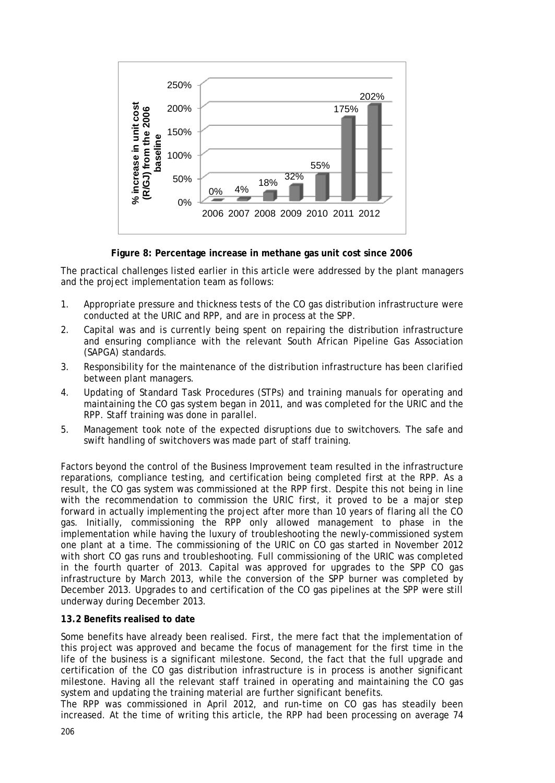

**Figure 8: Percentage increase in methane gas unit cost since 2006**

The practical challenges listed earlier in this article were addressed by the plant managers and the project implementation team as follows:

- 1. Appropriate pressure and thickness tests of the CO gas distribution infrastructure were conducted at the URIC and RPP, and are in process at the SPP.
- 2. Capital was and is currently being spent on repairing the distribution infrastructure and ensuring compliance with the relevant South African Pipeline Gas Association (SAPGA) standards.
- 3. Responsibility for the maintenance of the distribution infrastructure has been clarified between plant managers.
- 4. Updating of Standard Task Procedures (STPs) and training manuals for operating and maintaining the CO gas system began in 2011, and was completed for the URIC and the RPP. Staff training was done in parallel.
- 5. Management took note of the expected disruptions due to switchovers. The safe and swift handling of switchovers was made part of staff training.

Factors beyond the control of the Business Improvement team resulted in the infrastructure reparations, compliance testing, and certification being completed first at the RPP. As a result, the CO gas system was commissioned at the RPP first. Despite this not being in line with the recommendation to commission the URIC first, it proved to be a major step forward in actually implementing the project after more than 10 years of flaring all the CO gas. Initially, commissioning the RPP only allowed management to phase in the implementation while having the luxury of troubleshooting the newly-commissioned system one plant at a time. The commissioning of the URIC on CO gas started in November 2012 with short CO gas runs and troubleshooting. Full commissioning of the URIC was completed in the fourth quarter of 2013. Capital was approved for upgrades to the SPP CO gas infrastructure by March 2013, while the conversion of the SPP burner was completed by December 2013. Upgrades to and certification of the CO gas pipelines at the SPP were still underway during December 2013.

# **13.2 Benefits realised to date**

Some benefits have already been realised. First, the mere fact that the implementation of this project was approved and became the focus of management for the first time in the life of the business is a significant milestone. Second, the fact that the full upgrade and certification of the CO gas distribution infrastructure is in process is another significant milestone. Having all the relevant staff trained in operating and maintaining the CO gas system and updating the training material are further significant benefits.

The RPP was commissioned in April 2012, and run-time on CO gas has steadily been increased. At the time of writing this article, the RPP had been processing on average 74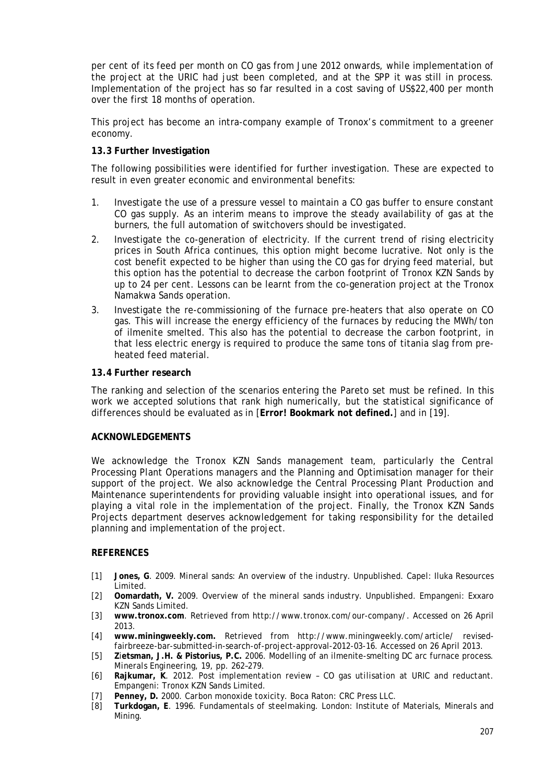per cent of its feed per month on CO gas from June 2012 onwards, while implementation of the project at the URIC had just been completed, and at the SPP it was still in process. Implementation of the project has so far resulted in a cost saving of US\$22,400 per month over the first 18 months of operation.

This project has become an intra-company example of Tronox's commitment to a greener economy.

### **13.3 Further Investigation**

The following possibilities were identified for further investigation. These are expected to result in even greater economic and environmental benefits:

- 1. Investigate the use of a pressure vessel to maintain a CO gas buffer to ensure constant CO gas supply. As an interim means to improve the steady availability of gas at the burners, the full automation of switchovers should be investigated.
- 2. Investigate the co-generation of electricity. If the current trend of rising electricity prices in South Africa continues, this option might become lucrative. Not only is the cost benefit expected to be higher than using the CO gas for drying feed material, but this option has the potential to decrease the carbon footprint of Tronox KZN Sands by up to 24 per cent. Lessons can be learnt from the co-generation project at the Tronox Namakwa Sands operation.
- 3. Investigate the re-commissioning of the furnace pre-heaters that also operate on CO gas. This will increase the energy efficiency of the furnaces by reducing the MWh/ton of ilmenite smelted. This also has the potential to decrease the carbon footprint, in that less electric energy is required to produce the same tons of titania slag from preheated feed material.

#### **13.4 Further research**

The ranking and selection of the scenarios entering the Pareto set must be refined. In this work we accepted solutions that rank high numerically, but the statistical significance of differences should be evaluated as in [**Error! Bookmark not defined.**] and in [\[19\].](#page-15-10)

#### **ACKNOWLEDGEMENTS**

We acknowledge the Tronox KZN Sands management team, particularly the Central Processing Plant Operations managers and the Planning and Optimisation manager for their support of the project. We also acknowledge the Central Processing Plant Production and Maintenance superintendents for providing valuable insight into operational issues, and for playing a vital role in the implementation of the project. Finally, the Tronox KZN Sands Projects department deserves acknowledgement for taking responsibility for the detailed planning and implementation of the project.

### **REFERENCES**

- <span id="page-14-0"></span>[1] **Jones, G**. 2009. *Mineral sands: An overview of the industry*. Unpublished. Capel: Iluka Resources Limited.
- <span id="page-14-1"></span>[2] **Oomardath, V.** 2009. *Overview of the mineral sands industry*. Unpublished. Empangeni: Exxaro KZN Sands Limited.
- <span id="page-14-2"></span>[3] **www.tronox.com**. Retrieved from http://www.tronox.com/our-company/. Accessed on 26 April 2013.
- <span id="page-14-3"></span>[4] **www.miningweekly.com.** Retrieved from http://www.miningweekly.com/article/ revisedfairbreeze-bar-submitted-in-search-of-project-approval-2012-03-16. Accessed on 26 April 2013.
- <span id="page-14-4"></span>[5] **Z**i**etsman, J.H. & Pistorius, P.C.** 2006. Modelling of an ilmenite-smelting DC arc furnace process. *Minerals Engineering*, 19, pp. 262–279.
- <span id="page-14-5"></span>[6] **Rajkumar, K**. 2012. *Post implementation review – CO gas utilisation at URIC and reductant*. Empangeni: Tronox KZN Sands Limited.
- <span id="page-14-6"></span>[7] **Penney, D.** 2000. *Carbon monoxide toxicity*. Boca Raton: CRC Press LLC.
- <span id="page-14-7"></span>[8] **Turkdogan, E**. 1996. *Fundamentals of steelmaking*. London: Institute of Materials, Minerals and Mining.